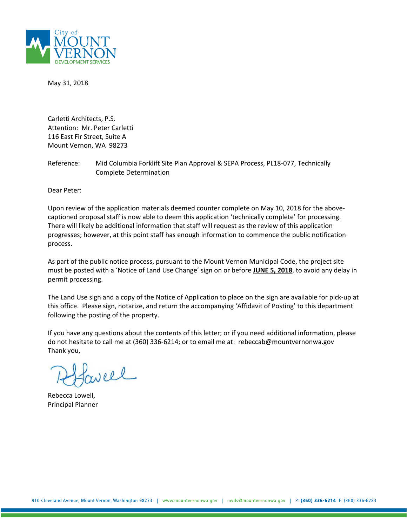

May 31, 2018

Carletti Architects, P.S. Attention: Mr. Peter Carletti 116 East Fir Street, Suite A Mount Vernon, WA 98273

Reference: Mid Columbia Forklift Site Plan Approval & SEPA Process, PL18-077, Technically Complete Determination

Dear Peter:

Upon review of the application materials deemed counter complete on May 10, 2018 for the abovecaptioned proposal staff is now able to deem this application 'technically complete' for processing. There will likely be additional information that staff will request as the review of this application progresses; however, at this point staff has enough information to commence the public notification process.

As part of the public notice process, pursuant to the Mount Vernon Municipal Code, the project site must be posted with a 'Notice of Land Use Change' sign on or before **JUNE 5, 2018**, to avoid any delay in permit processing.

The Land Use sign and a copy of the Notice of Application to place on the sign are available for pick-up at this office. Please sign, notarize, and return the accompanying 'Affidavit of Posting' to this department following the posting of the property.

If you have any questions about the contents of this letter; or if you need additional information, please do not hesitate to call me at (360) 336-6214; or to email me at: rebeccab@mountvernonwa.gov Thank you,

well

Rebecca Lowell, Principal Planner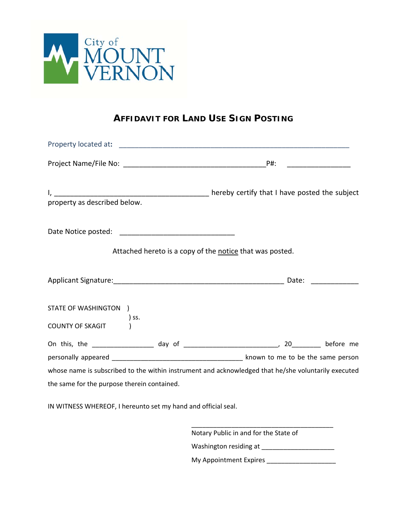

## **AFFIDAVIT FOR LAND USE SIGN POSTING**

| property as described below.                         |                                                                                                     |
|------------------------------------------------------|-----------------------------------------------------------------------------------------------------|
|                                                      | Attached hereto is a copy of the notice that was posted.                                            |
|                                                      |                                                                                                     |
| STATE OF WASHINGTON )<br>) ss.<br>COUNTY OF SKAGIT ( |                                                                                                     |
|                                                      |                                                                                                     |
| the same for the purpose therein contained.          | whose name is subscribed to the within instrument and acknowledged that he/she voluntarily executed |

IN WITNESS WHEREOF, I hereunto set my hand and official seal.

\_\_\_\_\_\_\_\_\_\_\_\_\_\_\_\_\_\_\_\_\_\_\_\_\_\_\_\_\_\_\_\_\_\_\_\_\_\_\_ Notary Public in and for the State of Washington residing at \_\_\_\_\_\_\_\_\_\_\_\_\_\_\_\_\_\_\_\_ My Appointment Expires \_\_\_\_\_\_\_\_\_\_\_\_\_\_\_\_\_\_\_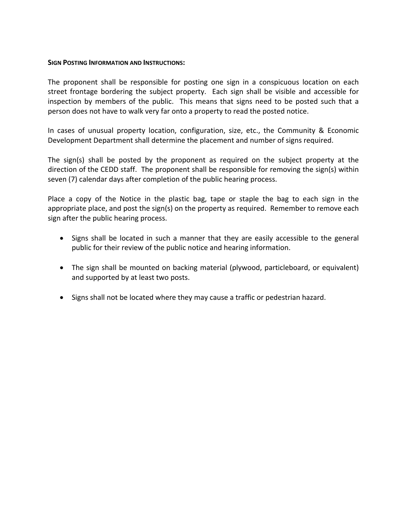## **SIGN POSTING INFORMATION AND INSTRUCTIONS:**

The proponent shall be responsible for posting one sign in a conspicuous location on each street frontage bordering the subject property. Each sign shall be visible and accessible for inspection by members of the public. This means that signs need to be posted such that a person does not have to walk very far onto a property to read the posted notice.

In cases of unusual property location, configuration, size, etc., the Community & Economic Development Department shall determine the placement and number of signs required.

The sign(s) shall be posted by the proponent as required on the subject property at the direction of the CEDD staff. The proponent shall be responsible for removing the sign(s) within seven (7) calendar days after completion of the public hearing process.

Place a copy of the Notice in the plastic bag, tape or staple the bag to each sign in the appropriate place, and post the sign(s) on the property as required. Remember to remove each sign after the public hearing process.

- Signs shall be located in such a manner that they are easily accessible to the general public for their review of the public notice and hearing information.
- The sign shall be mounted on backing material (plywood, particleboard, or equivalent) and supported by at least two posts.
- Signs shall not be located where they may cause a traffic or pedestrian hazard.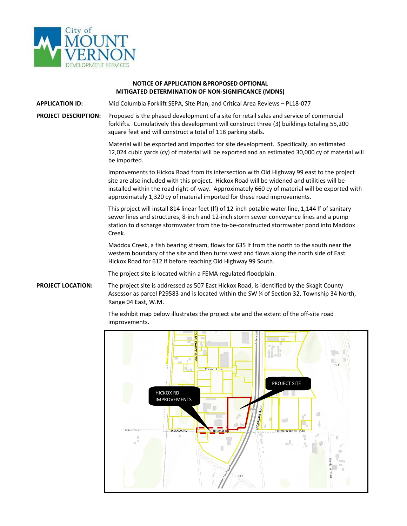

## **NOTICE OF APPLICATION &PROPOSED OPTIONAL MITIGATED DETERMINATION OF NON-SIGNIFICANCE (MDNS)**

**APPLICATION ID:** Mid Columbia Forklift SEPA, Site Plan, and Critical Area Reviews – PL18-077

**PROJECT DESCRIPTION:** Proposed is the phased development of a site for retail sales and service of commercial forklifts. Cumulatively this development will construct three (3) buildings totaling 55,200 square feet and will construct a total of 118 parking stalls.

> Material will be exported and imported for site development. Specifically, an estimated 12,024 cubic yards (cy) of material will be exported and an estimated 30,000 cy of material will be imported.

> Improvements to Hickox Road from its intersection with Old Highway 99 east to the project site are also included with this project. Hickox Road will be widened and utilities will be installed within the road right-of-way. Approximately 660 cy of material will be exported with approximately 1,320 cy of material imported for these road improvements.

This project will install 814 linear feet (lf) of 12-inch potable water line, 1,144 lf of sanitary sewer lines and structures, 8-inch and 12-inch storm sewer conveyance lines and a pump station to discharge stormwater from the to-be-constructed stormwater pond into Maddox Creek.

Maddox Creek, a fish bearing stream, flows for 635 lf from the north to the south near the western boundary of the site and then turns west and flows along the north side of East Hickox Road for 612 lf before reaching Old Highway 99 South.

The project site is located within a FEMA regulated floodplain.

**PROJECT LOCATION:** The project site is addressed as 507 East Hickox Road, is identified by the Skagit County Assessor as parcel P29583 and is located within the SW ¼ of Section 32, Township 34 North, Range 04 East, W.M.

> The exhibit map below illustrates the project site and the extent of the off-site road improvements.

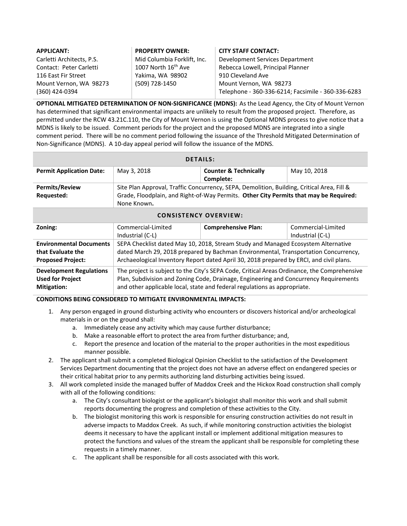| <b>APPLICANT:</b>         | <b>PROPERTY OWNER:</b>          | <b>CITY STAFF CONTACT:</b>                         |
|---------------------------|---------------------------------|----------------------------------------------------|
| Carletti Architects, P.S. | Mid Columbia Forklift, Inc.     | Development Services Department                    |
| Contact: Peter Carletti   | 1007 North 16 <sup>th</sup> Ave | Rebecca Lowell, Principal Planner                  |
| 116 East Fir Street       | Yakima, WA 98902                | 910 Cleveland Ave                                  |
| Mount Vernon, WA 98273    | (509) 728-1450                  | Mount Vernon, WA 98273                             |
| (360) 424-0394            |                                 | Telephone - 360-336-6214; Facsimile - 360-336-6283 |

**OPTIONAL MITIGATED DETERMINATION OF NON-SIGNIFICANCE (MDNS):** As the Lead Agency, the City of Mount Vernon has determined that significant environmental impacts are unlikely to result from the proposed project. Therefore, as permitted under the RCW 43.21C.110, the City of Mount Vernon is using the Optional MDNS process to give notice that a MDNS is likely to be issued. Comment periods for the project and the proposed MDNS are integrated into a single comment period. There will be no comment period following the issuance of the Threshold Mitigated Determination of Non-Significance (MDNS). A 10-day appeal period will follow the issuance of the MDNS.

| <b>DETAILS:</b>                 |                                                                                            |                                  |              |  |
|---------------------------------|--------------------------------------------------------------------------------------------|----------------------------------|--------------|--|
| <b>Permit Application Date:</b> | May 3, 2018                                                                                | <b>Counter &amp; Technically</b> | May 10, 2018 |  |
|                                 |                                                                                            | Complete:                        |              |  |
| <b>Permits/Review</b>           | Site Plan Approval, Traffic Concurrency, SEPA, Demolition, Building, Critical Area, Fill & |                                  |              |  |
| Requested:                      | Grade, Floodplain, and Right-of-Way Permits. Other City Permits that may be Required:      |                                  |              |  |
|                                 | None Known.                                                                                |                                  |              |  |

| <b>CONSISTENCY OVERVIEW:</b>   |                                                                                             |                            |                    |  |
|--------------------------------|---------------------------------------------------------------------------------------------|----------------------------|--------------------|--|
| Zoning:                        | Commercial-Limited                                                                          | <b>Comprehensive Plan:</b> | Commercial-Limited |  |
|                                | Industrial (C-L)                                                                            |                            | Industrial (C-L)   |  |
| <b>Environmental Documents</b> | SEPA Checklist dated May 10, 2018, Stream Study and Managed Ecosystem Alternative           |                            |                    |  |
| that Evaluate the              | dated March 29, 2018 prepared by Bachman Environmental, Transportation Concurrency,         |                            |                    |  |
| <b>Proposed Project:</b>       | Archaeological Inventory Report dated April 30, 2018 prepared by ERCI, and civil plans.     |                            |                    |  |
| <b>Development Regulations</b> | The project is subject to the City's SEPA Code, Critical Areas Ordinance, the Comprehensive |                            |                    |  |
| <b>Used for Project</b>        | Plan, Subdivision and Zoning Code, Drainage, Engineering and Concurrency Requirements       |                            |                    |  |
| <b>Mitigation:</b>             | and other applicable local, state and federal regulations as appropriate.                   |                            |                    |  |

## **CONDITIONS BEING CONSIDERED TO MITIGATE ENVIRONMENTAL IMPACTS:**

- 1. Any person engaged in ground disturbing activity who encounters or discovers historical and/or archeological materials in or on the ground shall:
	- a. Immediately cease any activity which may cause further disturbance;
	- b. Make a reasonable effort to protect the area from further disturbance; and,
	- c. Report the presence and location of the material to the proper authorities in the most expeditious manner possible.
- 2. The applicant shall submit a completed Biological Opinion Checklist to the satisfaction of the Development Services Department documenting that the project does not have an adverse effect on endangered species or their critical habitat prior to any permits authorizing land disturbing activities being issued.
- 3. All work completed inside the managed buffer of Maddox Creek and the Hickox Road construction shall comply with all of the following conditions:
	- a. The City's consultant biologist or the applicant's biologist shall monitor this work and shall submit reports documenting the progress and completion of these activities to the City.
	- b. The biologist monitoring this work is responsible for ensuring construction activities do not result in adverse impacts to Maddox Creek. As such, if while monitoring construction activities the biologist deems it necessary to have the applicant install or implement additional mitigation measures to protect the functions and values of the stream the applicant shall be responsible for completing these requests in a timely manner.
	- c. The applicant shall be responsible for all costs associated with this work.